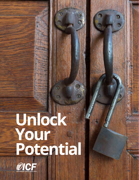# **Unlock Your Potential**

 $\mathbf{r}$ 

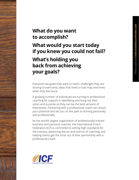#### **What do you want to accomplish?**

**What would you start today if you knew you could not fail?** 

#### **What's holding you back from achieving your goals?**

Everyone has goals they want to reach, challenges they are striving to overcome, ideas that need a road map and times when they feel stuck.

A growing number of individuals are turning to professional coaching for support in identifying and living out their vision and purpose so they can be the best versions of themselves. Partnering with a professional coach can unlock your potential and set you on the path to thriving personally and professionally.

As the world's largest organization of professionally trained business and personal coaches, the International Coach Federation (ICF) is committed to setting high standards for the industry, advancing the art and science of coaching, and helping clients get the most out of their partnership with a professional coach.

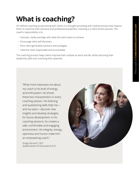## **What is coaching?**

ICF defines coaching as partnering with clients in a thought-provoking and creative process that inspires them to maximize their personal and professional potential. Coaching is a client-driven process. The coach's responsibility is to:

- Discover, clarify and align with what the client wants to achieve
- Encourage client self-discovery
- Elicit client-generated solutions and strategies
- Hold the client responsible and accountable

The coaching process helps clients improve their outlook on work and life, while improving their leadership skills and unlocking their potential.

"What most impresses me about my coach is his level of energy and enthusiasm. He shows these two characteristics in every coaching session. His listening and questioning skills help me and my team—discover new insights and develop strategies for future development. In his coaching sessions, he creates a safe, comfortable and engaging environment. His integrity, energy, openness and humor make him an empowering coach."

Drago Dervarič, CEO *Saubermacher & Komunala D.O.O.*

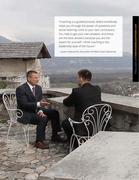"Coaching is a guided process where somebody helps you through the power of questions and active listening come to your own conclusions. You help to get your own answers, and these are the best answers because you are the expert for yourself. I think coaching is the leadership style of the future."

—Janez Hudovernik, Associate Certified Coach (Slovenia)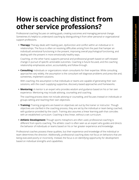#### **How is coaching distinct from other service professions?**

Professional coaching focuses on setting goals, creating outcomes and managing personal change. Sometimes it's helpful to understand coaching by distinguishing it from other personal or organizational support professions.

**• Therapy:** Therapy deals with healing pain, dysfunction and conflict within an individual or in relationships. The focus is often on resolving difficulties arising from the past that hamper an individual's emotional functioning in the present, improving overall psychological functioning, and dealing with the present in more emotionally healthy ways.

Coaching, on the other hand, supports personal and professional growth based on self-initiated change in pursuit of specific actionable outcomes. Coaching is future-focused, and the coaching relationship emphasizes action, accountability and follow-through.

**• Consulting:** Individuals or organizations retain consultants for their expertise. While consulting approaches vary widely, the assumption is the consultant will diagnose problems and prescribe and, sometimes, implement solutions.

With coaching, the assumption is that individuals or teams are capable of generating their own solutions, with the coach supplying supportive, discovery-based approaches and frameworks.

**• Mentoring:** A mentor is an expert who provides wisdom and guidance based on his or her own experience. Mentoring may include advising, counseling and coaching.

The coaching process does not include advising or counseling, and focuses instead on individuals or groups setting and reaching their own objectives.

- **• Training:** Training programs are based on objectives set out by the trainer or instructor. Though objectives are clarified in the coaching process, they are set by the individual or team being coached, with guidance provided by the coach. Training also assumes a linear learning path that coincides with an established curriculum. Coaching is less linear, without a set curriculum.
- **• Athletic Development:** Though sports metaphors are often used, professional coaching is different from sports coaching. The athletic coach is often seen as an expert who guides and directs the behavior of individuals or teams based on his or her greater experience and knowledge.

Professional coaches possess these qualities, but their experience and knowledge of the individual or team determines the direction. Additionally, professional coaching does not focus on behaviors that are being executed poorly or incorrectly. Instead, the focus is on identifying opportunity for development based on individual strengths and capabilities.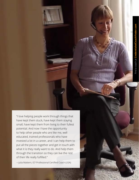"I love helping people work through things that have kept them stuck, have kept them staying small, have kept them from living to their fullest potential. And now I have the opportunity to help other people who are like me, well educated, trained professionals who have invested a lot in a career, and I can help them to put all the pieces together and get in touch with what it is they really want to do. And help them through the transition so they can live the rest of their life really fulfilled."

—Julia Mattern, ICF Professional Certified Coach (USA)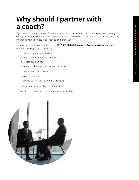#### **Why should I partner with a coach?**

If you want to take advantage of an opportunity or challenge, feel "stuck" on the path to achieving your goals or simply believe there is something more to discover in your personal or professional life, partnering with a professional coach could benefit you.

Coaching clients who responded to the **2017 ICF Global Consumer Awareness Study** reported positive coaching impacts including:

- Improved communication skills
- Increased self-esteem/self-confidence
- Increased productivity
- Optimized individual/team work performance
- Improved work/life balance
- Increased well-being
- Improved business management strategies
- Expanded professional career opportunities
- Accelerated on-boarding into a new professional role

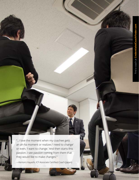画面

"...I love the moment when my coachee gets an ah-ha moment or realizes 'I need to change' or even, 'I want to change.' And then starts this passion. I see passion coming from them that they would like to make changes."

—Kentaro Hayashi, ICF Associate Certified Coach (Japan)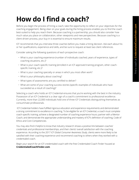## **How do I find a coach?**

Before you begin the process of hiring a coach, take the opportunity to reflect on your objectives for the coaching engagement. Being clear on your goals during the hiring process enables you to find the coach best-suited to help you reach them. Because coaching is a partnership, you should also consider how much value you place on collaboration, other viewpoints and new perspectives. Because coaching is a client-driven process, your buy-in is essential to ensure maximum results.

ICF recommends that you interview three coaches before you make a hiring decision. Ask each about his or her qualifications, experience and skills, and be sure to request at least two client references.

Consider asking the following questions of each prospective coach:

- What is your coaching experience (number of individuals coached, years of experience, types of coaching situations, etc.)?
- What is your coach-specific training (enrolled in an ICF approved training program, other coachspecific training, etc.)?
- What is your coaching specialty or areas in which you most often work?
- What is your philosophy about coaching?
- What types of assessments are you certified to deliver?
- What are some of your coaching success stories (specific examples of individuals who have succeeded as a result of coaching)?

Selecting a coach who holds an ICF Credential ensures that you're working with the best in the industry. Possession of an ICF Credential is a clear sign of a coach's commitment to professional excellence. Currently, more than 22,000 individuals hold one of three ICF Credentials distinguishing themselves as consummate professionals.

 ICF Credential-holders have fulfilled rigorous education and experience requirements and demonstrated a strong commitment to excellence in coaching. To be eligible for an ICF Credential, a coach must complete coach-specific training; achieve a designated number of coaching experience hours; partner with a Mentor Coach; and demonstrate the appropriate understanding and mastery of ICF's definition of coaching, Code of Ethics and Core Competencies.

You may also find it helpful to know that industry research shows a positive link between coaches' credentials and professional memberships, and their clients' overall satisfaction with the coaching experience. According to the 2017 *ICF Global Consumer Awareness Study*, clients were more likely to be satisfied with their coaching experience and recommend coaching to others when they worked with a credentialed coach.

Begin your search for an ICF-credentialed coach with the free Credentialed Coach Finder housed at **CredentialedCoachFinder.com**.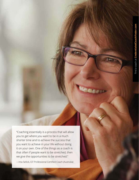"Coaching essentially is a process that will allow you to get where you want to be in a much shorter time and to achieve the success that you want to achieve in your life without doing it on your own. One of the things as a coach is that often if people want to be stretched, then we give the opportunities to be stretched."

—Inta Sellick, ICF Professional Certified Coach (Australia)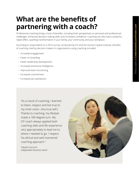#### **What are the benefits of partnering with a coach?**

Professional coaching brings a host of benefits, including fresh perspectives on personal and professional challenges, enhanced decision-making skills, and increased confidence. Coaching can also have a powerful ripple effect, sparking transformation in your family, your community and your workplace.

According to respondents to a 2014 survey conducted by ICF and the Human Capital Institute, benefits of coaching cited by decision-makers in organizations using coaching included:

- Increased engagement
- Faster on-boarding
- Faster leadership development
- Increased emotional intelligence
- Improved team functioning
- Increased commitment
- Increased job satisfaction

"As a result of coaching, I learned to listen, respect and live true to my inner voice—(my true self.) Thanks to coaching, my lifestyle made a 180-degree turn. My ICF coach always applied both coaching skills and life experience very appropriately to lead me to where I needed to go. I respect his ethical and well-mannered coaching approach."

Takeshi Horiuchi *Independent business owner*